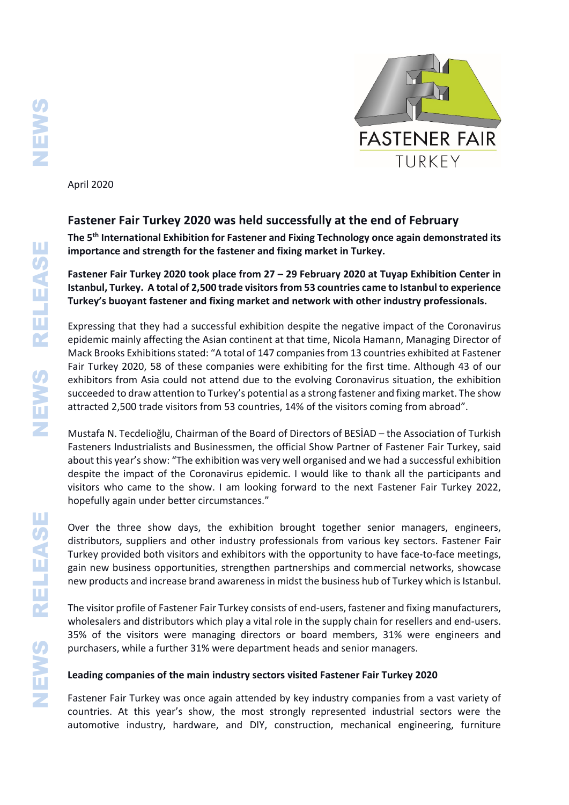

April 2020

## **Fastener Fair Turkey 2020 was held successfully at the end of February**

**The 5th International Exhibition for Fastener and Fixing Technology once again demonstrated its importance and strength for the fastener and fixing market in Turkey.**

**Fastener Fair Turkey 2020 took place from 27 – 29 February 2020 at Tuyap Exhibition Center in Istanbul, Turkey. A total of 2,500 trade visitors from 53 countries came to Istanbul to experience Turkey's buoyant fastener and fixing market and network with other industry professionals.**

Expressing that they had a successful exhibition despite the negative impact of the Coronavirus epidemic mainly affecting the Asian continent at that time, Nicola Hamann, Managing Director of Mack Brooks Exhibitions stated: "A total of 147 companies from 13 countries exhibited at Fastener Fair Turkey 2020, 58 of these companies were exhibiting for the first time. Although 43 of our exhibitors from Asia could not attend due to the evolving Coronavirus situation, the exhibition succeeded to draw attention to Turkey's potential as a strong fastener and fixing market. The show attracted 2,500 trade visitors from 53 countries, 14% of the visitors coming from abroad".

Mustafa N. Tecdelioğlu, Chairman of the Board of Directors of BESİAD – the Association of Turkish Fasteners Industrialists and Businessmen, the official Show Partner of Fastener Fair Turkey, said about this year's show: "The exhibition was very well organised and we had a successful exhibition despite the impact of the Coronavirus epidemic. I would like to thank all the participants and visitors who came to the show. I am looking forward to the next Fastener Fair Turkey 2022, hopefully again under better circumstances."

Over the three show days, the exhibition brought together senior managers, engineers, distributors, suppliers and other industry professionals from various key sectors. Fastener Fair Turkey provided both visitors and exhibitors with the opportunity to have face-to-face meetings, gain new business opportunities, strengthen partnerships and commercial networks, showcase new products and increase brand awareness in midst the business hub of Turkey which is Istanbul.

The visitor profile of Fastener Fair Turkey consists of end-users, fastener and fixing manufacturers, wholesalers and distributors which play a vital role in the supply chain for resellers and end-users. 35% of the visitors were managing directors or board members, 31% were engineers and purchasers, while a further 31% were department heads and senior managers.

## **Leading companies of the main industry sectors visited Fastener Fair Turkey 2020**

Fastener Fair Turkey was once again attended by key industry companies from a vast variety of countries. At this year's show, the most strongly represented industrial sectors were the automotive industry, hardware, and DIY, construction, mechanical engineering, furniture

RELEASE

**SWEINS**